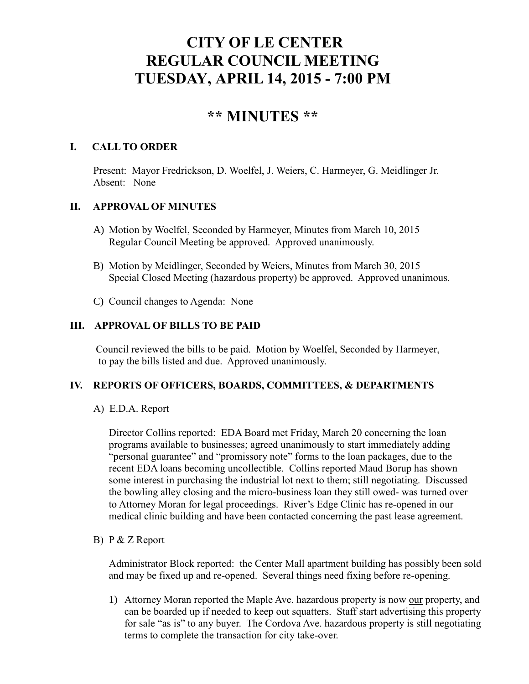# **CITY OF LE CENTER REGULAR COUNCIL MEETING TUESDAY, APRIL 14, 2015 - 7:00 PM**

# **\*\* MINUTES \*\***

#### **I. CALL TO ORDER**

Present: Mayor Fredrickson, D. Woelfel, J. Weiers, C. Harmeyer, G. Meidlinger Jr. Absent: None

# **II. APPROVAL OF MINUTES**

- A) Motion by Woelfel, Seconded by Harmeyer, Minutes from March 10, 2015 Regular Council Meeting be approved. Approved unanimously.
- B) Motion by Meidlinger, Seconded by Weiers, Minutes from March 30, 2015 Special Closed Meeting (hazardous property) be approved. Approved unanimous.
- C) Council changes to Agenda: None

## **III. APPROVAL OF BILLS TO BE PAID**

Council reviewed the bills to be paid. Motion by Woelfel, Seconded by Harmeyer, to pay the bills listed and due. Approved unanimously.

#### **IV. REPORTS OF OFFICERS, BOARDS, COMMITTEES, & DEPARTMENTS**

A) E.D.A. Report

 Director Collins reported: EDA Board met Friday, March 20 concerning the loan programs available to businesses; agreed unanimously to start immediately adding "personal guarantee" and "promissory note" forms to the loan packages, due to the recent EDA loans becoming uncollectible. Collins reported Maud Borup has shown some interest in purchasing the industrial lot next to them; still negotiating. Discussed the bowling alley closing and the micro-business loan they still owed- was turned over to Attorney Moran for legal proceedings. River's Edge Clinic has re-opened in our medical clinic building and have been contacted concerning the past lease agreement.

#### B) P & Z Report

 Administrator Block reported: the Center Mall apartment building has possibly been sold and may be fixed up and re-opened. Several things need fixing before re-opening.

1) Attorney Moran reported the Maple Ave. hazardous property is now our property, and can be boarded up if needed to keep out squatters. Staff start advertising this property for sale "as is" to any buyer. The Cordova Ave. hazardous property is still negotiating terms to complete the transaction for city take-over.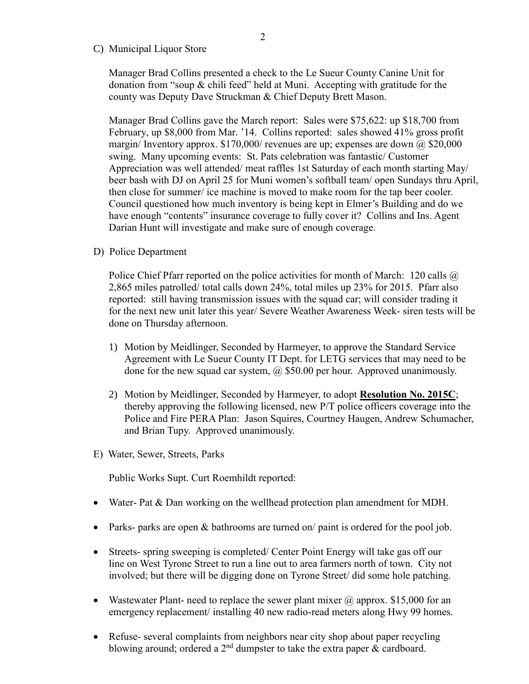C) Municipal Liquor Store

Manager Brad Collins presented a check to the Le Sueur County Canine Unit for donation from "soup & chili feed" held at Muni. Accepting with gratitude for the county was Deputy Dave Struckman & Chief Deputy Brett Mason.

Manager Brad Collins gave the March report: Sales were \$75,622: up \$18,700 from February, up \$8,000 from Mar. '14. Collins reported: sales showed 41% gross profit margin/ Inventory approx.  $$170,000$ / revenues are up; expenses are down  $@$  \$20,000 swing. Many upcoming events: St. Pats celebration was fantastic/ Customer Appreciation was well attended/ meat raffles 1st Saturday of each month starting May/ beer bash with DJ on April 25 for Muni women's softball team/ open Sundays thru April, then close for summer/ ice machine is moved to make room for the tap beer cooler. Council questioned how much inventory is being kept in Elmer's Building and do we have enough "contents" insurance coverage to fully cover it? Collins and Ins. Agent Darian Hunt will investigate and make sure of enough coverage.

D) Police Department

Police Chief Pfarr reported on the police activities for month of March: 120 calls  $\omega$ 2,865 miles patrolled/ total calls down 24%, total miles up 23% for 2015. Pfarr also reported: still having transmission issues with the squad car; will consider trading it for the next new unit later this year/ Severe Weather Awareness Week- siren tests will be done on Thursday afternoon.

- 1) Motion by Meidlinger, Seconded by Harmeyer, to approve the Standard Service Agreement with Le Sueur County IT Dept. for LETG services that may need to be done for the new squad car system,  $\omega$  \$50.00 per hour. Approved unanimously.
- 2) Motion by Meidlinger, Seconded by Harmeyer, to adopt **Resolution No. 2015C**; thereby approving the following licensed, new P/T police officers coverage into the Police and Fire PERA Plan: Jason Squires, Courtney Haugen, Andrew Schumacher, and Brian Tupy. Approved unanimously.
- E) Water, Sewer, Streets, Parks

Public Works Supt. Curt Roemhildt reported:

- Water- Pat & Dan working on the wellhead protection plan amendment for MDH.
- Parks- parks are open & bathrooms are turned on/ paint is ordered for the pool job.
- Streets- spring sweeping is completed/ Center Point Energy will take gas off our line on West Tyrone Street to run a line out to area farmers north of town. City not involved; but there will be digging done on Tyrone Street/ did some hole patching.
- Wastewater Plant- need to replace the sewer plant mixer  $\omega$  approx. \$15,000 for an emergency replacement/ installing 40 new radio-read meters along Hwy 99 homes.
- Refuse- several complaints from neighbors near city shop about paper recycling blowing around; ordered a  $2<sup>nd</sup>$  dumpster to take the extra paper  $\&$  cardboard.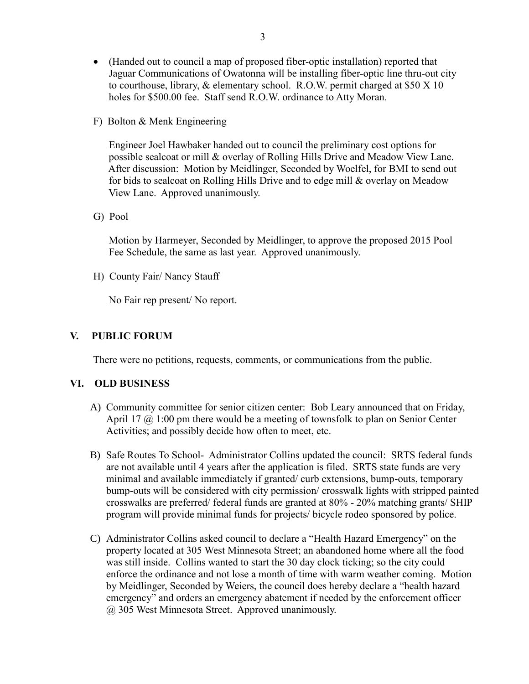- (Handed out to council a map of proposed fiber-optic installation) reported that Jaguar Communications of Owatonna will be installing fiber-optic line thru-out city to courthouse, library, & elementary school. R.O.W. permit charged at \$50 X 10 holes for \$500.00 fee. Staff send R.O.W. ordinance to Atty Moran.
- F) Bolton & Menk Engineering

 Engineer Joel Hawbaker handed out to council the preliminary cost options for possible sealcoat or mill & overlay of Rolling Hills Drive and Meadow View Lane. After discussion: Motion by Meidlinger, Seconded by Woelfel, for BMI to send out for bids to sealcoat on Rolling Hills Drive and to edge mill & overlay on Meadow View Lane. Approved unanimously.

G) Pool

 Motion by Harmeyer, Seconded by Meidlinger, to approve the proposed 2015 Pool Fee Schedule, the same as last year. Approved unanimously.

H) County Fair/ Nancy Stauff

No Fair rep present/ No report.

## **V. PUBLIC FORUM**

There were no petitions, requests, comments, or communications from the public.

#### **VI. OLD BUSINESS**

- A) Community committee for senior citizen center: Bob Leary announced that on Friday, April 17  $\omega$  1:00 pm there would be a meeting of townsfolk to plan on Senior Center Activities; and possibly decide how often to meet, etc.
- B) Safe Routes To School- Administrator Collins updated the council: SRTS federal funds are not available until 4 years after the application is filed. SRTS state funds are very minimal and available immediately if granted/ curb extensions, bump-outs, temporary bump-outs will be considered with city permission/ crosswalk lights with stripped painted crosswalks are preferred/ federal funds are granted at 80% - 20% matching grants/ SHIP program will provide minimal funds for projects/ bicycle rodeo sponsored by police.
- C) Administrator Collins asked council to declare a "Health Hazard Emergency" on the property located at 305 West Minnesota Street; an abandoned home where all the food was still inside. Collins wanted to start the 30 day clock ticking; so the city could enforce the ordinance and not lose a month of time with warm weather coming. Motion by Meidlinger, Seconded by Weiers, the council does hereby declare a "health hazard emergency" and orders an emergency abatement if needed by the enforcement officer @ 305 West Minnesota Street. Approved unanimously.